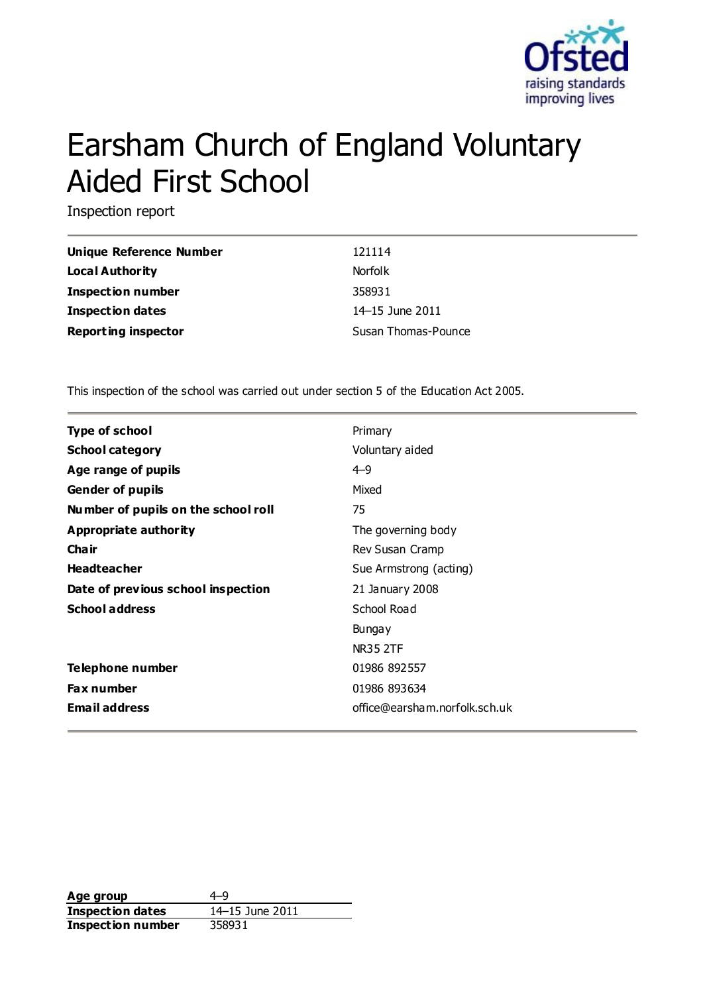

# Earsham Church of England Voluntary Aided First School

Inspection report

| Unique Reference Number    | 121114              |
|----------------------------|---------------------|
| Local Authority            | <b>Norfolk</b>      |
| <b>Inspection number</b>   | 358931              |
| <b>Inspection dates</b>    | 14–15 June 2011     |
| <b>Reporting inspector</b> | Susan Thomas-Pounce |

This inspection of the school was carried out under section 5 of the Education Act 2005.

| <b>Type of school</b>               | Primary                       |
|-------------------------------------|-------------------------------|
| <b>School category</b>              | Voluntary aided               |
| Age range of pupils                 | $4 - 9$                       |
| <b>Gender of pupils</b>             | Mixed                         |
| Number of pupils on the school roll | 75                            |
| <b>Appropriate authority</b>        | The governing body            |
| Cha ir                              | Rev Susan Cramp               |
| <b>Headteacher</b>                  | Sue Armstrong (acting)        |
| Date of previous school inspection  | 21 January 2008               |
| <b>School address</b>               | School Road                   |
|                                     | <b>Bungay</b>                 |
|                                     | <b>NR35 2TF</b>               |
| Telephone number                    | 01986 892557                  |
| <b>Fax number</b>                   | 01986 893634                  |
| <b>Email address</b>                | office@earsham.norfolk.sch.uk |

Age group  $4-9$ **Inspection dates** 14–15 June 2011 **Inspection number** 358931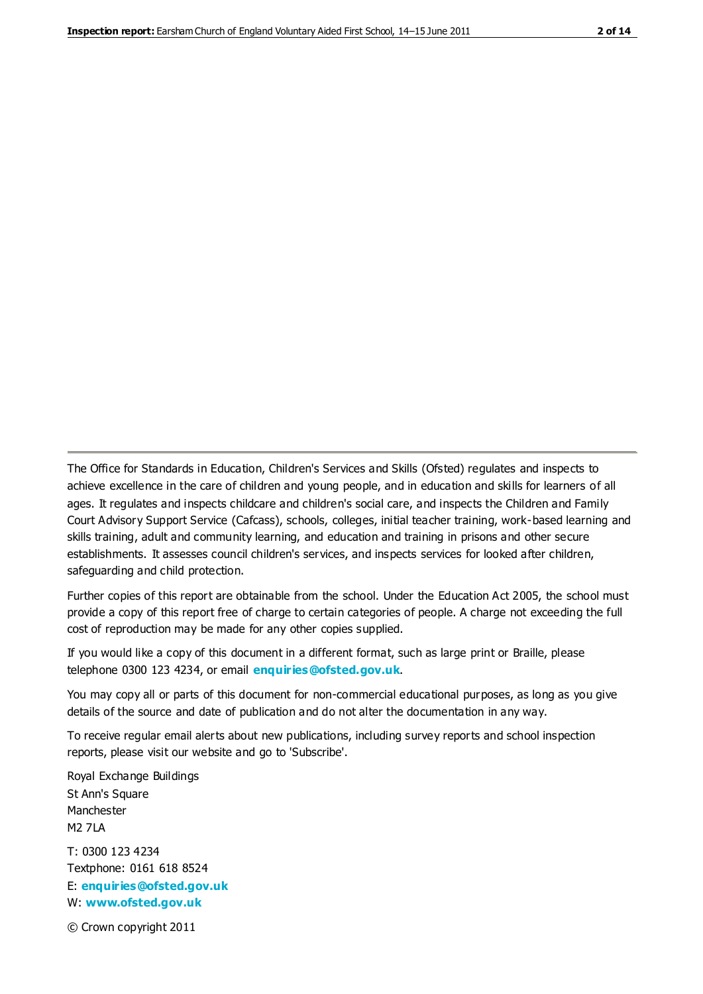The Office for Standards in Education, Children's Services and Skills (Ofsted) regulates and inspects to achieve excellence in the care of children and young people, and in education and skills for learners of all ages. It regulates and inspects childcare and children's social care, and inspects the Children and Family Court Advisory Support Service (Cafcass), schools, colleges, initial teacher training, work-based learning and skills training, adult and community learning, and education and training in prisons and other secure establishments. It assesses council children's services, and inspects services for looked after children, safeguarding and child protection.

Further copies of this report are obtainable from the school. Under the Education Act 2005, the school must provide a copy of this report free of charge to certain categories of people. A charge not exceeding the full cost of reproduction may be made for any other copies supplied.

If you would like a copy of this document in a different format, such as large print or Braille, please telephone 0300 123 4234, or email **[enquiries@ofsted.gov.uk](mailto:enquiries@ofsted.gov.uk)**.

You may copy all or parts of this document for non-commercial educational purposes, as long as you give details of the source and date of publication and do not alter the documentation in any way.

To receive regular email alerts about new publications, including survey reports and school inspection reports, please visit our website and go to 'Subscribe'.

Royal Exchange Buildings St Ann's Square Manchester M2 7LA T: 0300 123 4234 Textphone: 0161 618 8524 E: **[enquiries@ofsted.gov.uk](mailto:enquiries@ofsted.gov.uk)**

W: **[www.ofsted.gov.uk](http://www.ofsted.gov.uk/)**

© Crown copyright 2011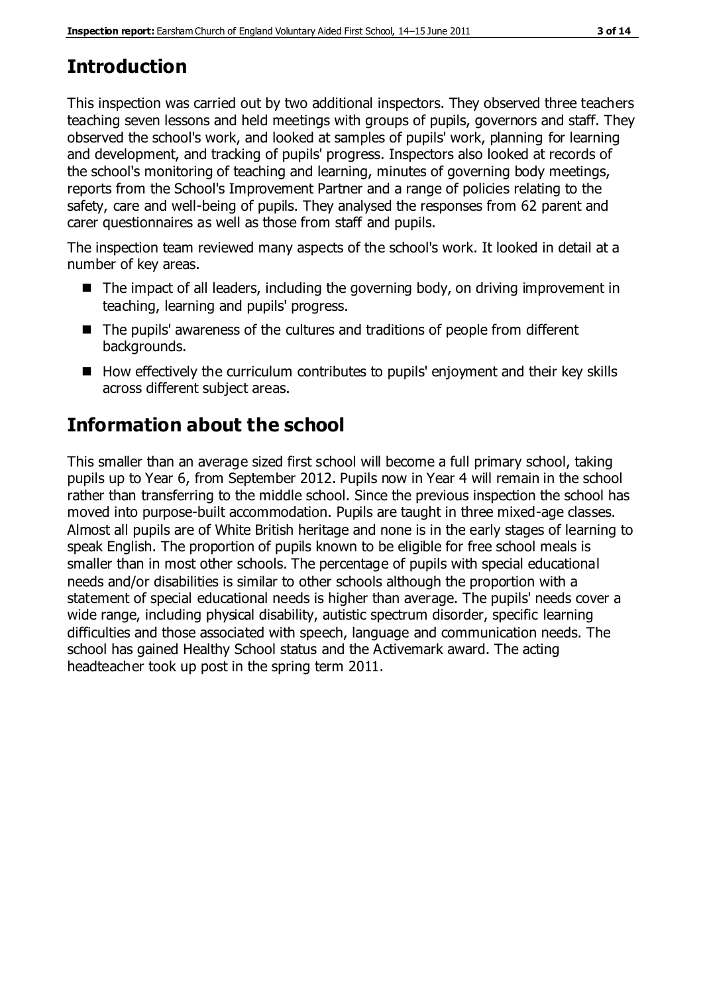# **Introduction**

This inspection was carried out by two additional inspectors. They observed three teachers teaching seven lessons and held meetings with groups of pupils, governors and staff. They observed the school's work, and looked at samples of pupils' work, planning for learning and development, and tracking of pupils' progress. Inspectors also looked at records of the school's monitoring of teaching and learning, minutes of governing body meetings, reports from the School's Improvement Partner and a range of policies relating to the safety, care and well-being of pupils. They analysed the responses from 62 parent and carer questionnaires as well as those from staff and pupils.

The inspection team reviewed many aspects of the school's work. It looked in detail at a number of key areas.

- The impact of all leaders, including the governing body, on driving improvement in teaching, learning and pupils' progress.
- The pupils' awareness of the cultures and traditions of people from different backgrounds.
- $\blacksquare$  How effectively the curriculum contributes to pupils' enjoyment and their key skills across different subject areas.

# **Information about the school**

This smaller than an average sized first school will become a full primary school, taking pupils up to Year 6, from September 2012. Pupils now in Year 4 will remain in the school rather than transferring to the middle school. Since the previous inspection the school has moved into purpose-built accommodation. Pupils are taught in three mixed-age classes. Almost all pupils are of White British heritage and none is in the early stages of learning to speak English. The proportion of pupils known to be eligible for free school meals is smaller than in most other schools. The percentage of pupils with special educational needs and/or disabilities is similar to other schools although the proportion with a statement of special educational needs is higher than average. The pupils' needs cover a wide range, including physical disability, autistic spectrum disorder, specific learning difficulties and those associated with speech, language and communication needs. The school has gained Healthy School status and the Activemark award. The acting headteacher took up post in the spring term 2011.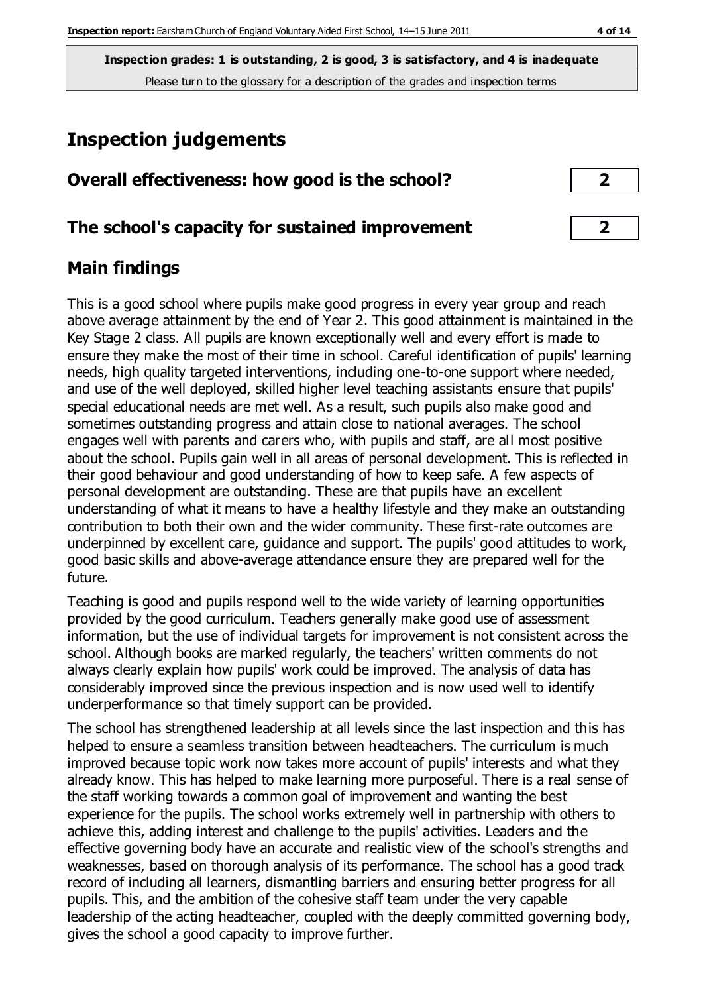**Inspection grades: 1 is outstanding, 2 is good, 3 is satisfactory, and 4 is inadequate** Please turn to the glossary for a description of the grades and inspection terms

# **Inspection judgements**

#### **Overall effectiveness: how good is the school? 2**

#### **The school's capacity for sustained improvement 2**

## **Main findings**

This is a good school where pupils make good progress in every year group and reach above average attainment by the end of Year 2. This good attainment is maintained in the Key Stage 2 class. All pupils are known exceptionally well and every effort is made to ensure they make the most of their time in school. Careful identification of pupils' learning needs, high quality targeted interventions, including one-to-one support where needed, and use of the well deployed, skilled higher level teaching assistants ensure that pupils' special educational needs are met well. As a result, such pupils also make good and sometimes outstanding progress and attain close to national averages. The school engages well with parents and carers who, with pupils and staff, are all most positive about the school. Pupils gain well in all areas of personal development. This is reflected in their good behaviour and good understanding of how to keep safe. A few aspects of personal development are outstanding. These are that pupils have an excellent understanding of what it means to have a healthy lifestyle and they make an outstanding contribution to both their own and the wider community. These first-rate outcomes are underpinned by excellent care, guidance and support. The pupils' good attitudes to work, good basic skills and above-average attendance ensure they are prepared well for the future.

Teaching is good and pupils respond well to the wide variety of learning opportunities provided by the good curriculum. Teachers generally make good use of assessment information, but the use of individual targets for improvement is not consistent across the school. Although books are marked regularly, the teachers' written comments do not always clearly explain how pupils' work could be improved. The analysis of data has considerably improved since the previous inspection and is now used well to identify underperformance so that timely support can be provided.

The school has strengthened leadership at all levels since the last inspection and this has helped to ensure a seamless transition between headteachers. The curriculum is much improved because topic work now takes more account of pupils' interests and what they already know. This has helped to make learning more purposeful. There is a real sense of the staff working towards a common goal of improvement and wanting the best experience for the pupils. The school works extremely well in partnership with others to achieve this, adding interest and challenge to the pupils' activities. Leaders and the effective governing body have an accurate and realistic view of the school's strengths and weaknesses, based on thorough analysis of its performance. The school has a good track record of including all learners, dismantling barriers and ensuring better progress for all pupils. This, and the ambition of the cohesive staff team under the very capable leadership of the acting headteacher, coupled with the deeply committed governing body, gives the school a good capacity to improve further.

| $\overline{\mathbf{2}}$ |  |
|-------------------------|--|
|                         |  |
| - 1                     |  |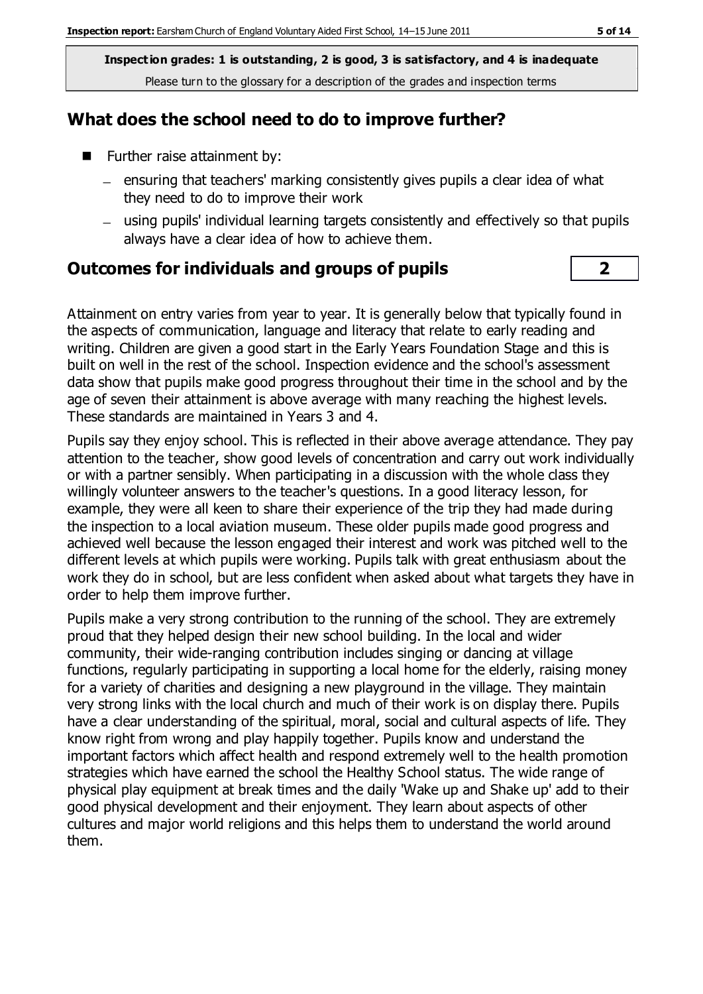**Inspection grades: 1 is outstanding, 2 is good, 3 is satisfactory, and 4 is inadequate** Please turn to the glossary for a description of the grades and inspection terms

#### **What does the school need to do to improve further?**

- **Further raise attainment by:** 
	- $=$  ensuring that teachers' marking consistently gives pupils a clear idea of what they need to do to improve their work
	- using pupils' individual learning targets consistently and effectively so that pupils always have a clear idea of how to achieve them.

#### **Outcomes for individuals and groups of pupils 2**

Attainment on entry varies from year to year. It is generally below that typically found in the aspects of communication, language and literacy that relate to early reading and writing. Children are given a good start in the Early Years Foundation Stage and this is built on well in the rest of the school. Inspection evidence and the school's assessment data show that pupils make good progress throughout their time in the school and by the age of seven their attainment is above average with many reaching the highest levels. These standards are maintained in Years 3 and 4.

Pupils say they enjoy school. This is reflected in their above average attendance. They pay attention to the teacher, show good levels of concentration and carry out work individually or with a partner sensibly. When participating in a discussion with the whole class they willingly volunteer answers to the teacher's questions. In a good literacy lesson, for example, they were all keen to share their experience of the trip they had made during the inspection to a local aviation museum. These older pupils made good progress and achieved well because the lesson engaged their interest and work was pitched well to the different levels at which pupils were working. Pupils talk with great enthusiasm about the work they do in school, but are less confident when asked about what targets they have in order to help them improve further.

Pupils make a very strong contribution to the running of the school. They are extremely proud that they helped design their new school building. In the local and wider community, their wide-ranging contribution includes singing or dancing at village functions, regularly participating in supporting a local home for the elderly, raising money for a variety of charities and designing a new playground in the village. They maintain very strong links with the local church and much of their work is on display there. Pupils have a clear understanding of the spiritual, moral, social and cultural aspects of life. They know right from wrong and play happily together. Pupils know and understand the important factors which affect health and respond extremely well to the health promotion strategies which have earned the school the Healthy School status. The wide range of physical play equipment at break times and the daily 'Wake up and Shake up' add to their good physical development and their enjoyment. They learn about aspects of other cultures and major world religions and this helps them to understand the world around them.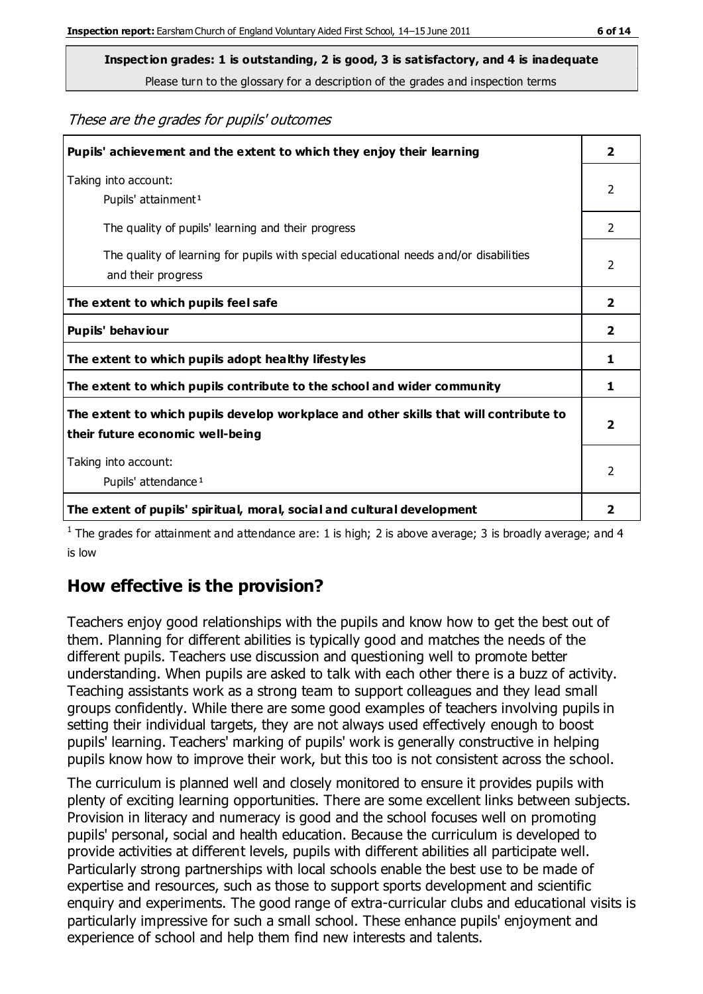Please turn to the glossary for a description of the grades and inspection terms

#### These are the grades for pupils' outcomes

| Pupils' achievement and the extent to which they enjoy their learning                                                     | $\overline{2}$ |
|---------------------------------------------------------------------------------------------------------------------------|----------------|
| Taking into account:<br>Pupils' attainment <sup>1</sup>                                                                   | 2              |
| The quality of pupils' learning and their progress                                                                        | $\mathcal{P}$  |
| The quality of learning for pupils with special educational needs and/or disabilities<br>and their progress               | $\mathcal{P}$  |
| The extent to which pupils feel safe                                                                                      | $\mathbf{2}$   |
| Pupils' behaviour                                                                                                         | 2              |
| The extent to which pupils adopt healthy lifestyles                                                                       | 1              |
| The extent to which pupils contribute to the school and wider community                                                   | 1              |
| The extent to which pupils develop workplace and other skills that will contribute to<br>their future economic well-being | $\overline{2}$ |
| Taking into account:<br>Pupils' attendance <sup>1</sup>                                                                   | $\mathcal{P}$  |
| The extent of pupils' spiritual, moral, social and cultural development                                                   | 2              |

<sup>1</sup> The grades for attainment and attendance are: 1 is high; 2 is above average; 3 is broadly average; and 4 is low

## **How effective is the provision?**

Teachers enjoy good relationships with the pupils and know how to get the best out of them. Planning for different abilities is typically good and matches the needs of the different pupils. Teachers use discussion and questioning well to promote better understanding. When pupils are asked to talk with each other there is a buzz of activity. Teaching assistants work as a strong team to support colleagues and they lead small groups confidently. While there are some good examples of teachers involving pupils in setting their individual targets, they are not always used effectively enough to boost pupils' learning. Teachers' marking of pupils' work is generally constructive in helping pupils know how to improve their work, but this too is not consistent across the school.

The curriculum is planned well and closely monitored to ensure it provides pupils with plenty of exciting learning opportunities. There are some excellent links between subjects. Provision in literacy and numeracy is good and the school focuses well on promoting pupils' personal, social and health education. Because the curriculum is developed to provide activities at different levels, pupils with different abilities all participate well. Particularly strong partnerships with local schools enable the best use to be made of expertise and resources, such as those to support sports development and scientific enquiry and experiments. The good range of extra-curricular clubs and educational visits is particularly impressive for such a small school. These enhance pupils' enjoyment and experience of school and help them find new interests and talents.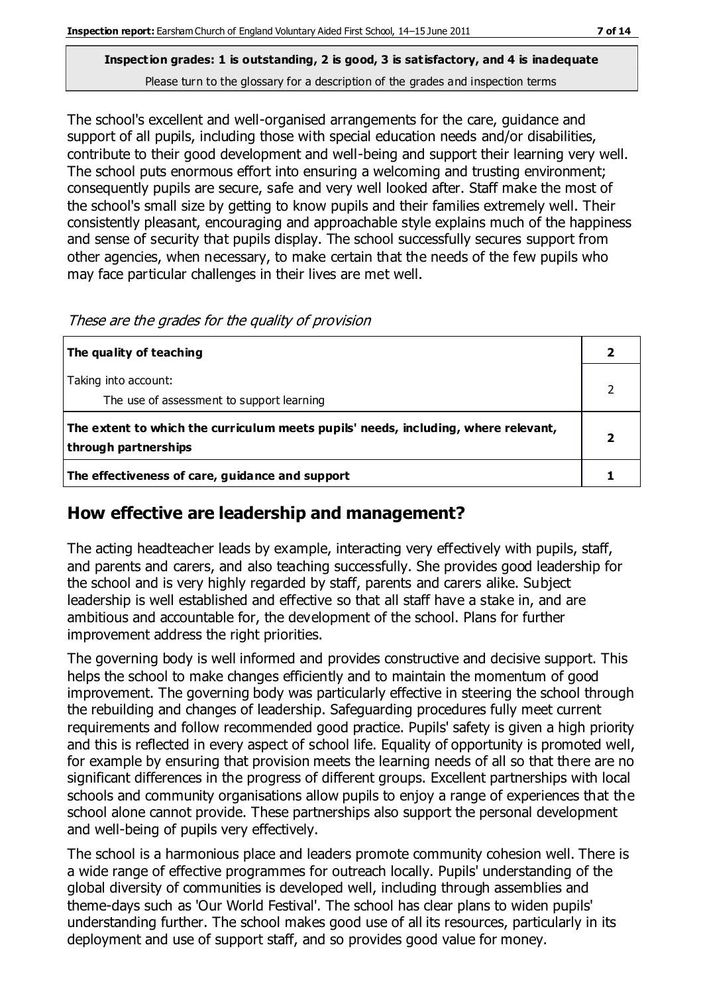#### **Inspection grades: 1 is outstanding, 2 is good, 3 is satisfactory, and 4 is inadequate** Please turn to the glossary for a description of the grades and inspection terms

The school's excellent and well-organised arrangements for the care, guidance and support of all pupils, including those with special education needs and/or disabilities, contribute to their good development and well-being and support their learning very well. The school puts enormous effort into ensuring a welcoming and trusting environment; consequently pupils are secure, safe and very well looked after. Staff make the most of the school's small size by getting to know pupils and their families extremely well. Their consistently pleasant, encouraging and approachable style explains much of the happiness and sense of security that pupils display. The school successfully secures support from other agencies, when necessary, to make certain that the needs of the few pupils who may face particular challenges in their lives are met well.

|  | These are the grades for the quality of provision |  |
|--|---------------------------------------------------|--|
|  |                                                   |  |

| The quality of teaching                                                                                    |  |
|------------------------------------------------------------------------------------------------------------|--|
| Taking into account:<br>The use of assessment to support learning                                          |  |
| The extent to which the curriculum meets pupils' needs, including, where relevant,<br>through partnerships |  |
| The effectiveness of care, guidance and support                                                            |  |

#### **How effective are leadership and management?**

The acting headteacher leads by example, interacting very effectively with pupils, staff, and parents and carers, and also teaching successfully. She provides good leadership for the school and is very highly regarded by staff, parents and carers alike. Subject leadership is well established and effective so that all staff have a stake in, and are ambitious and accountable for, the development of the school. Plans for further improvement address the right priorities.

The governing body is well informed and provides constructive and decisive support. This helps the school to make changes efficiently and to maintain the momentum of good improvement. The governing body was particularly effective in steering the school through the rebuilding and changes of leadership. Safeguarding procedures fully meet current requirements and follow recommended good practice. Pupils' safety is given a high priority and this is reflected in every aspect of school life. Equality of opportunity is promoted well, for example by ensuring that provision meets the learning needs of all so that there are no significant differences in the progress of different groups. Excellent partnerships with local schools and community organisations allow pupils to enjoy a range of experiences that the school alone cannot provide. These partnerships also support the personal development and well-being of pupils very effectively.

The school is a harmonious place and leaders promote community cohesion well. There is a wide range of effective programmes for outreach locally. Pupils' understanding of the global diversity of communities is developed well, including through assemblies and theme-days such as 'Our World Festival'. The school has clear plans to widen pupils' understanding further. The school makes good use of all its resources, particularly in its deployment and use of support staff, and so provides good value for money.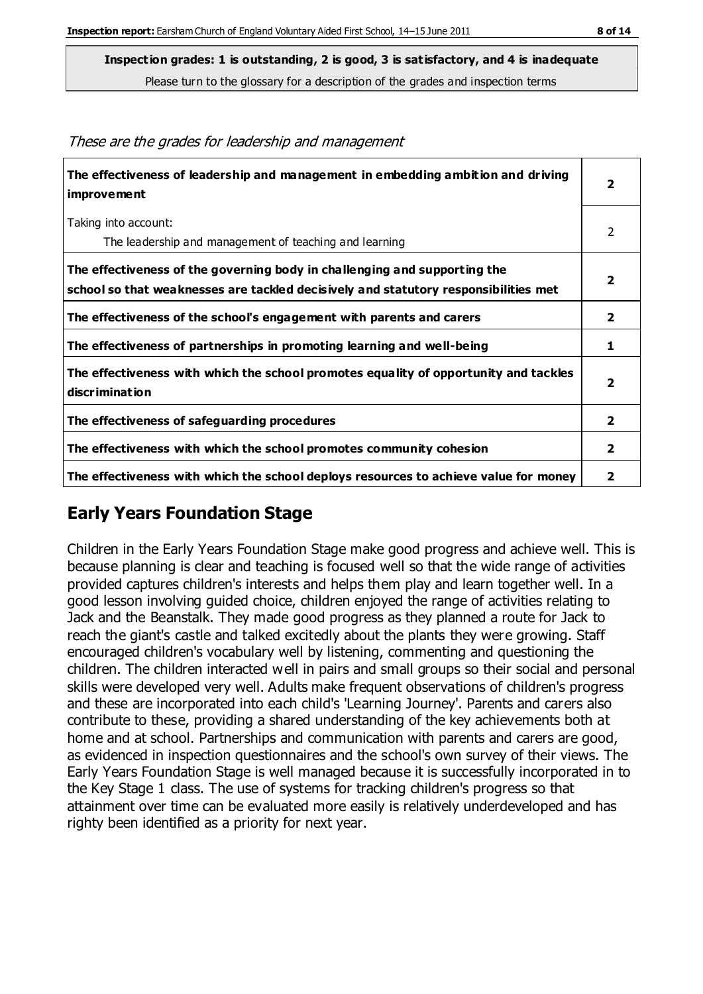Please turn to the glossary for a description of the grades and inspection terms

| The effectiveness of leadership and management in embedding ambition and driving<br>improvement                                                                  | $\overline{2}$ |
|------------------------------------------------------------------------------------------------------------------------------------------------------------------|----------------|
| Taking into account:<br>The leadership and management of teaching and learning                                                                                   | 2              |
| The effectiveness of the governing body in challenging and supporting the<br>school so that weaknesses are tackled decisively and statutory responsibilities met | $\overline{2}$ |
| The effectiveness of the school's engagement with parents and carers                                                                                             | $\overline{2}$ |
| The effectiveness of partnerships in promoting learning and well-being                                                                                           | 1              |
| The effectiveness with which the school promotes equality of opportunity and tackles<br>discrimination                                                           | $\overline{2}$ |
| The effectiveness of safeguarding procedures                                                                                                                     | $\overline{2}$ |
| The effectiveness with which the school promotes community cohesion                                                                                              |                |
| The effectiveness with which the school deploys resources to achieve value for money                                                                             | 2              |

These are the grades for leadership and management

## **Early Years Foundation Stage**

Children in the Early Years Foundation Stage make good progress and achieve well. This is because planning is clear and teaching is focused well so that the wide range of activities provided captures children's interests and helps them play and learn together well. In a good lesson involving guided choice, children enjoyed the range of activities relating to Jack and the Beanstalk. They made good progress as they planned a route for Jack to reach the giant's castle and talked excitedly about the plants they were growing. Staff encouraged children's vocabulary well by listening, commenting and questioning the children. The children interacted well in pairs and small groups so their social and personal skills were developed very well. Adults make frequent observations of children's progress and these are incorporated into each child's 'Learning Journey'. Parents and carers also contribute to these, providing a shared understanding of the key achievements both at home and at school. Partnerships and communication with parents and carers are good, as evidenced in inspection questionnaires and the school's own survey of their views. The Early Years Foundation Stage is well managed because it is successfully incorporated in to the Key Stage 1 class. The use of systems for tracking children's progress so that attainment over time can be evaluated more easily is relatively underdeveloped and has righty been identified as a priority for next year.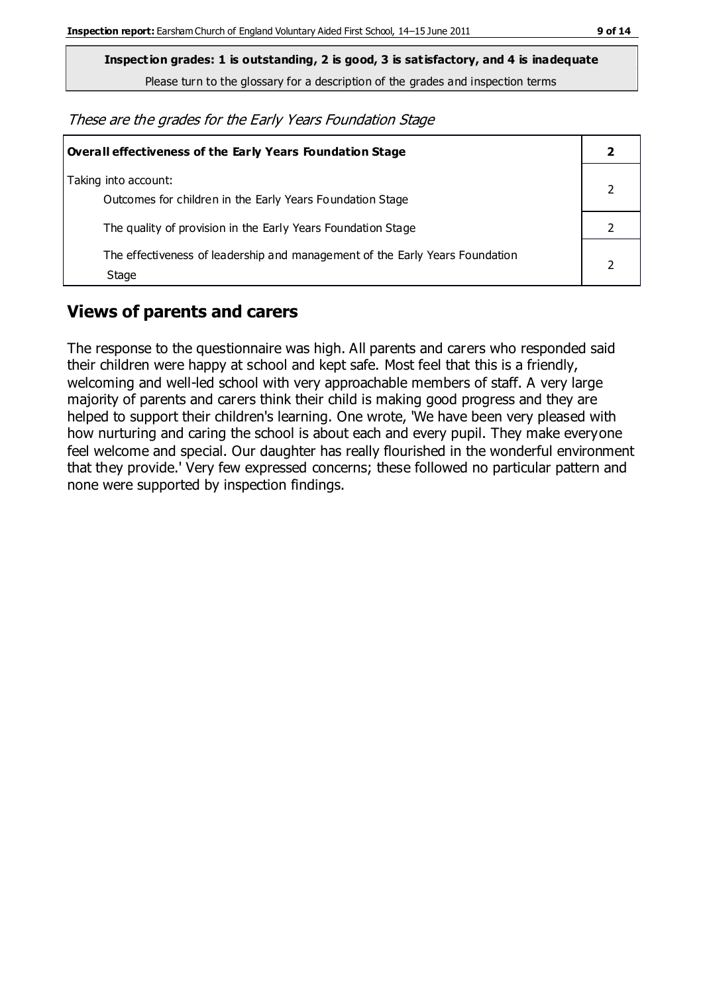**Inspection grades: 1 is outstanding, 2 is good, 3 is satisfactory, and 4 is inadequate**

Please turn to the glossary for a description of the grades and inspection terms

These are the grades for the Early Years Foundation Stage

| <b>Overall effectiveness of the Early Years Foundation Stage</b>                      |  |
|---------------------------------------------------------------------------------------|--|
| Taking into account:<br>Outcomes for children in the Early Years Foundation Stage     |  |
| The quality of provision in the Early Years Foundation Stage                          |  |
| The effectiveness of leadership and management of the Early Years Foundation<br>Stage |  |

## **Views of parents and carers**

The response to the questionnaire was high. All parents and carers who responded said their children were happy at school and kept safe. Most feel that this is a friendly, welcoming and well-led school with very approachable members of staff. A very large majority of parents and carers think their child is making good progress and they are helped to support their children's learning. One wrote, 'We have been very pleased with how nurturing and caring the school is about each and every pupil. They make everyone feel welcome and special. Our daughter has really flourished in the wonderful environment that they provide.' Very few expressed concerns; these followed no particular pattern and none were supported by inspection findings.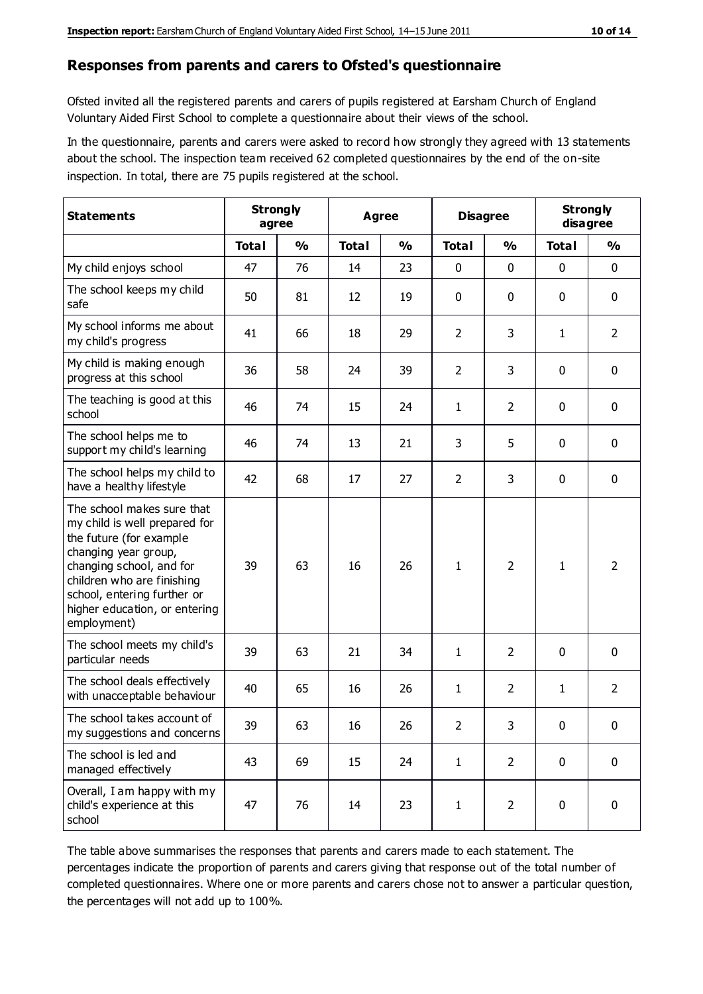#### **Responses from parents and carers to Ofsted's questionnaire**

Ofsted invited all the registered parents and carers of pupils registered at Earsham Church of England Voluntary Aided First School to complete a questionnaire about their views of the school.

In the questionnaire, parents and carers were asked to record how strongly they agreed with 13 statements about the school. The inspection team received 62 completed questionnaires by the end of the on-site inspection. In total, there are 75 pupils registered at the school.

| <b>Statements</b>                                                                                                                                                                                                                                       | <b>Strongly</b><br>agree |               | <b>Agree</b> |               | <b>Disagree</b> |                | <b>Strongly</b><br>disagree |                |
|---------------------------------------------------------------------------------------------------------------------------------------------------------------------------------------------------------------------------------------------------------|--------------------------|---------------|--------------|---------------|-----------------|----------------|-----------------------------|----------------|
|                                                                                                                                                                                                                                                         | <b>Total</b>             | $\frac{0}{0}$ | <b>Total</b> | $\frac{0}{0}$ | <b>Total</b>    | $\frac{0}{0}$  | <b>Total</b>                | $\frac{0}{0}$  |
| My child enjoys school                                                                                                                                                                                                                                  | 47                       | 76            | 14           | 23            | 0               | $\mathbf 0$    | 0                           | $\mathbf 0$    |
| The school keeps my child<br>safe                                                                                                                                                                                                                       | 50                       | 81            | 12           | 19            | 0               | 0              | 0                           | $\pmb{0}$      |
| My school informs me about<br>my child's progress                                                                                                                                                                                                       | 41                       | 66            | 18           | 29            | $\overline{2}$  | 3              | $\mathbf{1}$                | $\overline{2}$ |
| My child is making enough<br>progress at this school                                                                                                                                                                                                    | 36                       | 58            | 24           | 39            | $\overline{2}$  | 3              | 0                           | $\mathbf 0$    |
| The teaching is good at this<br>school                                                                                                                                                                                                                  | 46                       | 74            | 15           | 24            | $\mathbf{1}$    | $\overline{2}$ | 0                           | $\mathbf 0$    |
| The school helps me to<br>support my child's learning                                                                                                                                                                                                   | 46                       | 74            | 13           | 21            | 3               | 5              | $\mathbf 0$                 | $\mathbf 0$    |
| The school helps my child to<br>have a healthy lifestyle                                                                                                                                                                                                | 42                       | 68            | 17           | 27            | $\overline{2}$  | 3              | 0                           | $\mathbf 0$    |
| The school makes sure that<br>my child is well prepared for<br>the future (for example<br>changing year group,<br>changing school, and for<br>children who are finishing<br>school, entering further or<br>higher education, or entering<br>employment) | 39                       | 63            | 16           | 26            | $\mathbf{1}$    | $\overline{2}$ | $\mathbf{1}$                | $\overline{2}$ |
| The school meets my child's<br>particular needs                                                                                                                                                                                                         | 39                       | 63            | 21           | 34            | $\mathbf{1}$    | $\overline{2}$ | $\mathbf{0}$                | $\mathbf 0$    |
| The school deals effectively<br>with unacceptable behaviour                                                                                                                                                                                             | 40                       | 65            | 16           | 26            | $\mathbf{1}$    | $\overline{2}$ | 1                           | $\overline{2}$ |
| The school takes account of<br>my suggestions and concerns                                                                                                                                                                                              | 39                       | 63            | 16           | 26            | $\overline{2}$  | 3              | 0                           | 0              |
| The school is led and<br>managed effectively                                                                                                                                                                                                            | 43                       | 69            | 15           | 24            | $\mathbf{1}$    | $\overline{2}$ | $\mathbf 0$                 | $\mathbf 0$    |
| Overall, I am happy with my<br>child's experience at this<br>school                                                                                                                                                                                     | 47                       | 76            | 14           | 23            | $\mathbf{1}$    | $\overline{2}$ | $\mathbf 0$                 | $\pmb{0}$      |

The table above summarises the responses that parents and carers made to each statement. The percentages indicate the proportion of parents and carers giving that response out of the total number of completed questionnaires. Where one or more parents and carers chose not to answer a particular question, the percentages will not add up to 100%.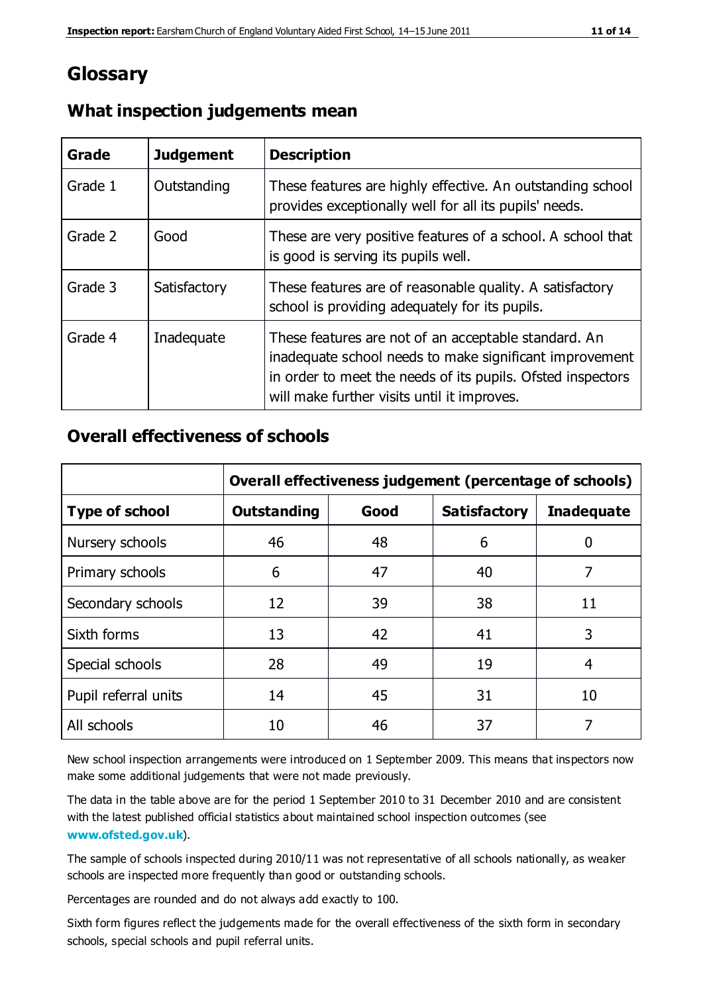## **Glossary**

| Grade   | <b>Judgement</b> | <b>Description</b>                                                                                                                                                                                                            |
|---------|------------------|-------------------------------------------------------------------------------------------------------------------------------------------------------------------------------------------------------------------------------|
| Grade 1 | Outstanding      | These features are highly effective. An outstanding school<br>provides exceptionally well for all its pupils' needs.                                                                                                          |
| Grade 2 | Good             | These are very positive features of a school. A school that<br>is good is serving its pupils well.                                                                                                                            |
| Grade 3 | Satisfactory     | These features are of reasonable quality. A satisfactory<br>school is providing adequately for its pupils.                                                                                                                    |
| Grade 4 | Inadequate       | These features are not of an acceptable standard. An<br>inadequate school needs to make significant improvement<br>in order to meet the needs of its pupils. Ofsted inspectors<br>will make further visits until it improves. |

#### **What inspection judgements mean**

#### **Overall effectiveness of schools**

|                       | Overall effectiveness judgement (percentage of schools) |      |                     |                   |
|-----------------------|---------------------------------------------------------|------|---------------------|-------------------|
| <b>Type of school</b> | <b>Outstanding</b>                                      | Good | <b>Satisfactory</b> | <b>Inadequate</b> |
| Nursery schools       | 46                                                      | 48   | 6                   |                   |
| Primary schools       | 6                                                       | 47   | 40                  | 7                 |
| Secondary schools     | 12                                                      | 39   | 38                  | 11                |
| Sixth forms           | 13                                                      | 42   | 41                  | 3                 |
| Special schools       | 28                                                      | 49   | 19                  | 4                 |
| Pupil referral units  | 14                                                      | 45   | 31                  | 10                |
| All schools           | 10                                                      | 46   | 37                  |                   |

New school inspection arrangements were introduced on 1 September 2009. This means that inspectors now make some additional judgements that were not made previously.

The data in the table above are for the period 1 September 2010 to 31 December 2010 and are consistent with the latest published official statistics about maintained school inspection outcomes (see **[www.ofsted.gov.uk](http://www.ofsted.gov.uk/)**).

The sample of schools inspected during 2010/11 was not representative of all schools nationally, as weaker schools are inspected more frequently than good or outstanding schools.

Percentages are rounded and do not always add exactly to 100.

Sixth form figures reflect the judgements made for the overall effectiveness of the sixth form in secondary schools, special schools and pupil referral units.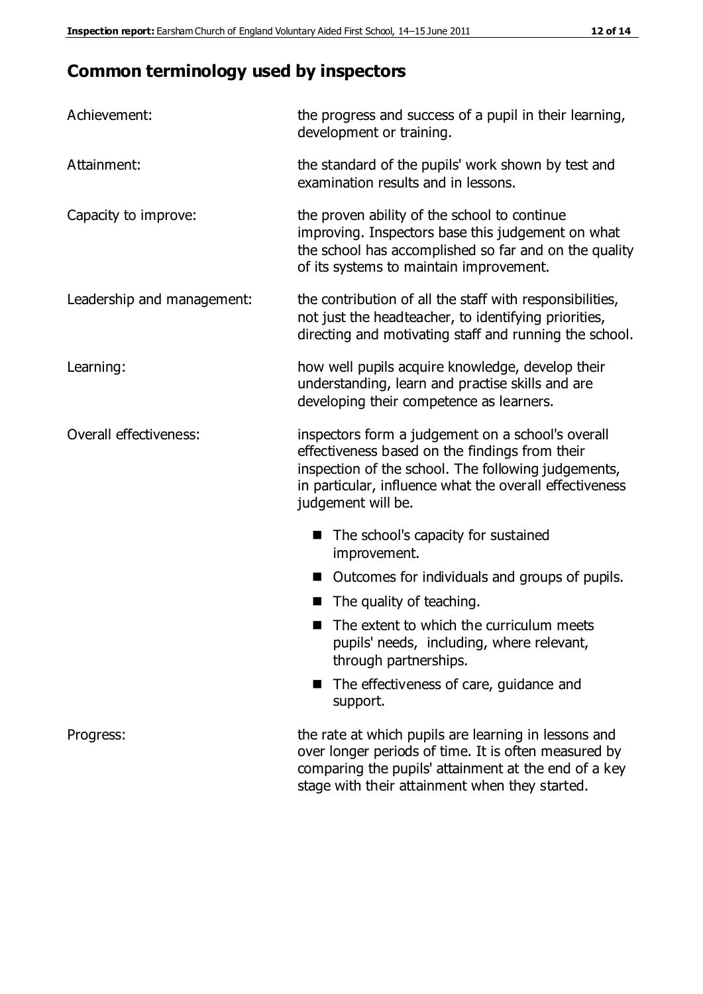# **Common terminology used by inspectors**

| Achievement:               | the progress and success of a pupil in their learning,<br>development or training.                                                                                                                                                          |  |  |
|----------------------------|---------------------------------------------------------------------------------------------------------------------------------------------------------------------------------------------------------------------------------------------|--|--|
| Attainment:                | the standard of the pupils' work shown by test and<br>examination results and in lessons.                                                                                                                                                   |  |  |
| Capacity to improve:       | the proven ability of the school to continue<br>improving. Inspectors base this judgement on what<br>the school has accomplished so far and on the quality<br>of its systems to maintain improvement.                                       |  |  |
| Leadership and management: | the contribution of all the staff with responsibilities,<br>not just the headteacher, to identifying priorities,<br>directing and motivating staff and running the school.                                                                  |  |  |
| Learning:                  | how well pupils acquire knowledge, develop their<br>understanding, learn and practise skills and are<br>developing their competence as learners.                                                                                            |  |  |
| Overall effectiveness:     | inspectors form a judgement on a school's overall<br>effectiveness based on the findings from their<br>inspection of the school. The following judgements,<br>in particular, influence what the overall effectiveness<br>judgement will be. |  |  |
|                            | The school's capacity for sustained<br>improvement.                                                                                                                                                                                         |  |  |
|                            | Outcomes for individuals and groups of pupils.                                                                                                                                                                                              |  |  |
|                            | The quality of teaching.                                                                                                                                                                                                                    |  |  |
|                            | The extent to which the curriculum meets<br>pupils' needs, including, where relevant,<br>through partnerships.                                                                                                                              |  |  |
|                            | The effectiveness of care, guidance and<br>support.                                                                                                                                                                                         |  |  |
| Progress:                  | the rate at which pupils are learning in lessons and<br>over longer periods of time. It is often measured by<br>comparing the pupils' attainment at the end of a key                                                                        |  |  |

stage with their attainment when they started.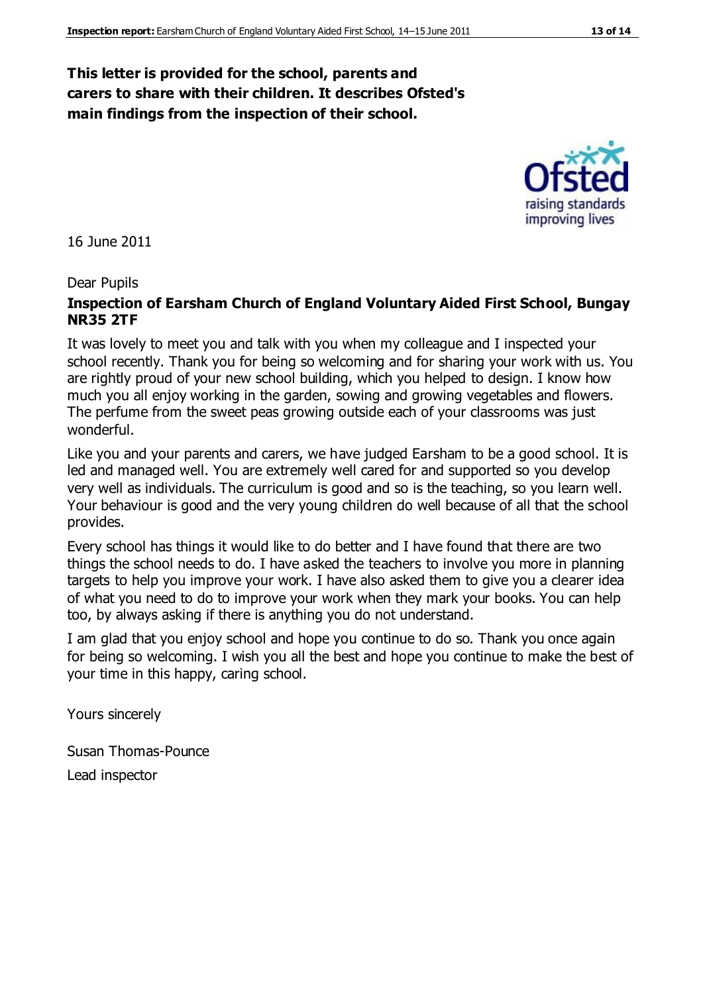#### **This letter is provided for the school, parents and carers to share with their children. It describes Ofsted's main findings from the inspection of their school.**

16 June 2011

#### Dear Pupils

#### **Inspection of Earsham Church of England Voluntary Aided First School, Bungay NR35 2TF**

It was lovely to meet you and talk with you when my colleague and I inspected your school recently. Thank you for being so welcoming and for sharing your work with us. You are rightly proud of your new school building, which you helped to design. I know how much you all enjoy working in the garden, sowing and growing vegetables and flowers. The perfume from the sweet peas growing outside each of your classrooms was just wonderful.

Like you and your parents and carers, we have judged Earsham to be a good school. It is led and managed well. You are extremely well cared for and supported so you develop very well as individuals. The curriculum is good and so is the teaching, so you learn well. Your behaviour is good and the very young children do well because of all that the school provides.

Every school has things it would like to do better and I have found that there are two things the school needs to do. I have asked the teachers to involve you more in planning targets to help you improve your work. I have also asked them to give you a clearer idea of what you need to do to improve your work when they mark your books. You can help too, by always asking if there is anything you do not understand.

I am glad that you enjoy school and hope you continue to do so. Thank you once again for being so welcoming. I wish you all the best and hope you continue to make the best of your time in this happy, caring school.

Yours sincerely

Susan Thomas-Pounce Lead inspector